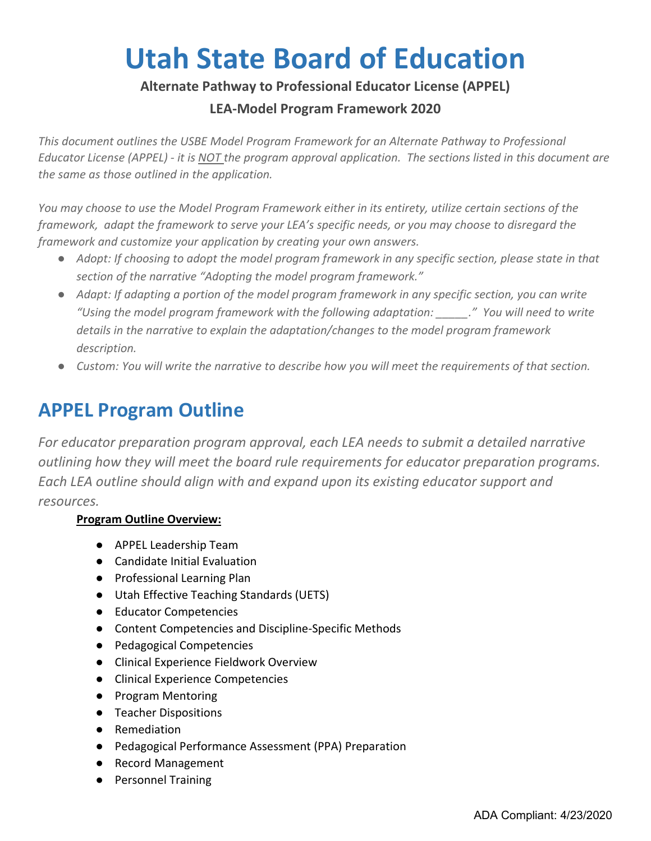# **Utah State Board of Education**

### **Alternate Pathway to Professional Educator License (APPEL)**

### **LEA-Model Program Framework 2020**

*This document outlines the USBE Model Program Framework for an Alternate Pathway to Professional Educator License (APPEL) - it is NOT the program approval application. The sections listed in this document are the same as those outlined in the application.*

*You may choose to use the Model Program Framework either in its entirety, utilize certain sections of the framework, adapt the framework to serve your LEA's specific needs, or you may choose to disregard the framework and customize your application by creating your own answers.*

- *Adopt: If choosing to adopt the model program framework in any specific section, please state in that section of the narrative "Adopting the model program framework."*
- *Adapt: If adapting a portion of the model program framework in any specific section, you can write "Using the model program framework with the following adaptation: \_\_\_\_\_." You will need to write details in the narrative to explain the adaptation/changes to the model program framework description.*
- *Custom: You will write the narrative to describe how you will meet the requirements of that section.*

## **APPEL Program Outline**

*For educator preparation program approval, each LEA needs to submit a detailed narrative outlining how they will meet the board rule requirements for educator preparation programs. Each LEA outline should align with and expand upon its existing educator support and resources.* 

#### **Program Outline Overview:**

- APPEL Leadership Team
- Candidate Initial Evaluation
- Professional Learning Plan
- Utah Effective Teaching Standards (UETS)
- Educator Competencies
- Content Competencies and Discipline-Specific Methods
- Pedagogical Competencies
- Clinical Experience Fieldwork Overview
- Clinical Experience Competencies
- Program Mentoring
- Teacher Dispositions
- Remediation
- Pedagogical Performance Assessment (PPA) Preparation
- Record Management
- Personnel Training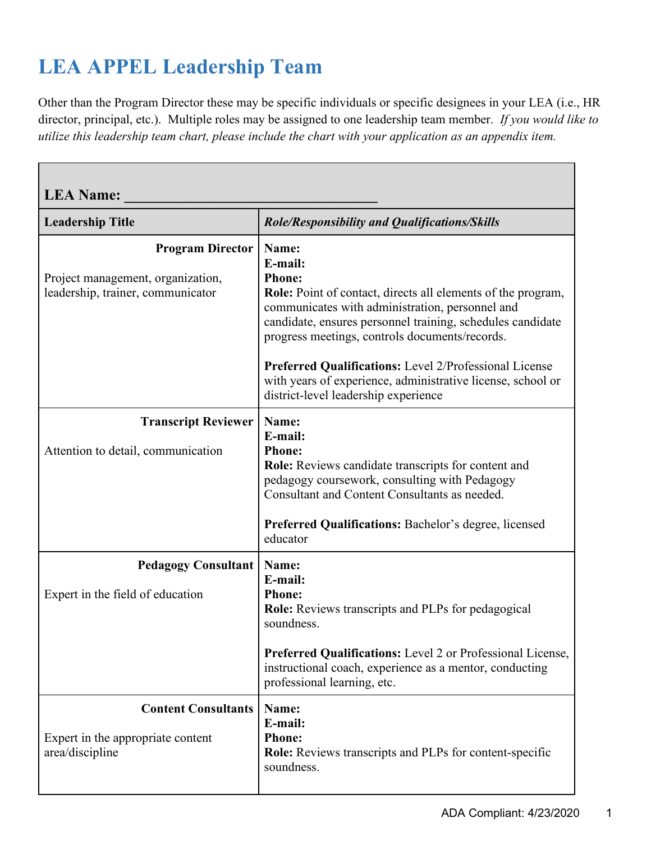# **LEA APPEL Leadership Team**

Г

Other than the Program Director these may be specific individuals or specific designees in your LEA (i.e., HR director, principal, etc.). Multiple roles may be assigned to one leadership team member. *If you would like to utilize this leadership team chart, please include the chart with your application as an appendix item.*

| <b>LEA Name:</b>                                                                                  |                                                                                                                                                                                                                                                                             |
|---------------------------------------------------------------------------------------------------|-----------------------------------------------------------------------------------------------------------------------------------------------------------------------------------------------------------------------------------------------------------------------------|
| <b>Leadership Title</b>                                                                           | Role/Responsibility and Qualifications/Skills                                                                                                                                                                                                                               |
| <b>Program Director</b><br>Project management, organization,<br>leadership, trainer, communicator | Name:<br>E-mail:<br><b>Phone:</b><br><b>Role:</b> Point of contact, directs all elements of the program,<br>communicates with administration, personnel and<br>candidate, ensures personnel training, schedules candidate<br>progress meetings, controls documents/records. |
|                                                                                                   | Preferred Qualifications: Level 2/Professional License<br>with years of experience, administrative license, school or<br>district-level leadership experience                                                                                                               |
| <b>Transcript Reviewer</b><br>Attention to detail, communication                                  | Name:<br>E-mail:<br><b>Phone:</b><br>Role: Reviews candidate transcripts for content and<br>pedagogy coursework, consulting with Pedagogy<br>Consultant and Content Consultants as needed.<br><b>Preferred Qualifications: Bachelor's degree, licensed</b><br>educator      |
| <b>Pedagogy Consultant</b><br>Expert in the field of education                                    | Name:<br>E-mail:<br><b>Phone:</b><br><b>Role:</b> Reviews transcripts and PLPs for pedagogical<br>soundness.<br><b>Preferred Qualifications:</b> Level 2 or Professional License,<br>instructional coach, experience as a mentor, conducting<br>professional learning, etc. |
| <b>Content Consultants</b><br>Expert in the appropriate content<br>area/discipline                | Name:<br>E-mail:<br><b>Phone:</b><br><b>Role:</b> Reviews transcripts and PLPs for content-specific<br>soundness.                                                                                                                                                           |

┑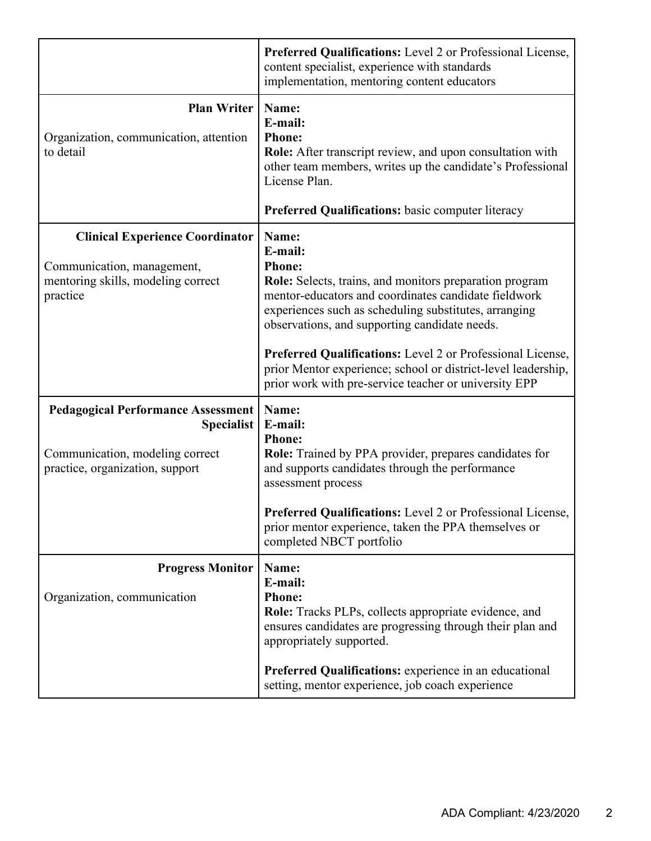|                                                                                                                               | Preferred Qualifications: Level 2 or Professional License,<br>content specialist, experience with standards<br>implementation, mentoring content educators                                                                                                                                                                                                                                                                                             |
|-------------------------------------------------------------------------------------------------------------------------------|--------------------------------------------------------------------------------------------------------------------------------------------------------------------------------------------------------------------------------------------------------------------------------------------------------------------------------------------------------------------------------------------------------------------------------------------------------|
| <b>Plan Writer   Name:</b><br>Organization, communication, attention<br>to detail                                             | E-mail:<br><b>Phone:</b><br><b>Role:</b> After transcript review, and upon consultation with<br>other team members, writes up the candidate's Professional<br>License Plan.<br>Preferred Qualifications: basic computer literacy                                                                                                                                                                                                                       |
| <b>Clinical Experience Coordinator</b><br>Communication, management,<br>mentoring skills, modeling correct<br>practice        | Name:<br>E-mail:<br><b>Phone:</b><br>Role: Selects, trains, and monitors preparation program<br>mentor-educators and coordinates candidate fieldwork<br>experiences such as scheduling substitutes, arranging<br>observations, and supporting candidate needs.<br>Preferred Qualifications: Level 2 or Professional License,<br>prior Mentor experience; school or district-level leadership,<br>prior work with pre-service teacher or university EPP |
| <b>Pedagogical Performance Assessment</b><br>Specialist<br>Communication, modeling correct<br>practice, organization, support | Name:<br>E-mail:<br><b>Phone:</b><br><b>Role:</b> Trained by PPA provider, prepares candidates for<br>and supports candidates through the performance<br>assessment process<br><b>Preferred Qualifications:</b> Level 2 or Professional License,<br>prior mentor experience, taken the PPA themselves or<br>completed NBCT portfolio                                                                                                                   |
| <b>Progress Monitor</b><br>Organization, communication                                                                        | Name:<br>E-mail:<br><b>Phone:</b><br>Role: Tracks PLPs, collects appropriate evidence, and<br>ensures candidates are progressing through their plan and<br>appropriately supported.<br>Preferred Qualifications: experience in an educational<br>setting, mentor experience, job coach experience                                                                                                                                                      |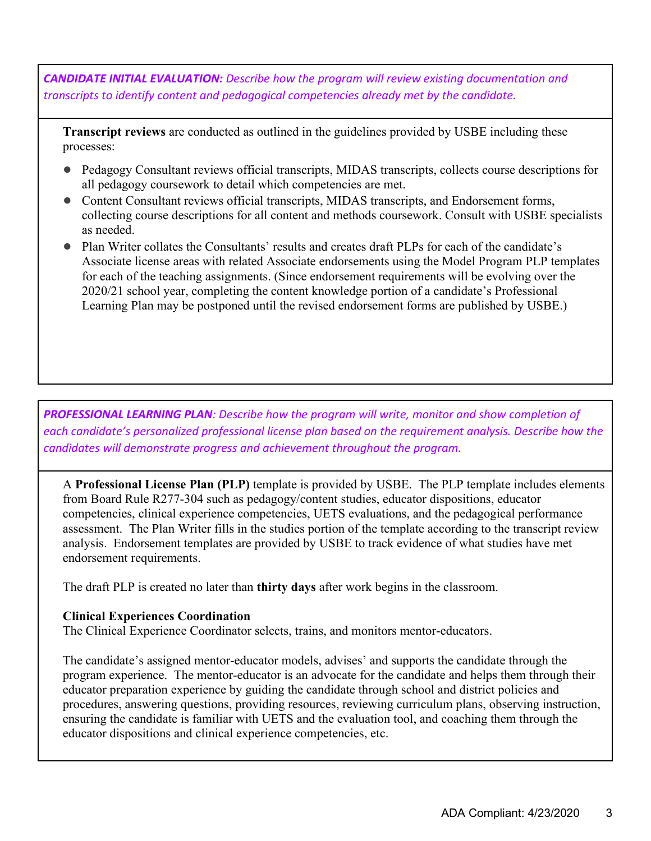*CANDIDATE INITIAL EVALUATION: Describe how the program will review existing documentation and transcripts to identify content and pedagogical competencies already met by the candidate.*

**Transcript reviews** are conducted as outlined in the guidelines provided by USBE including these processes:

- Pedagogy Consultant reviews official transcripts, MIDAS transcripts, collects course descriptions for all pedagogy coursework to detail which competencies are met.
- Content Consultant reviews official transcripts, MIDAS transcripts, and Endorsement forms, collecting course descriptions for all content and methods coursework. Consult with USBE specialists as needed.
- Plan Writer collates the Consultants' results and creates draft PLPs for each of the candidate's Associate license areas with related Associate endorsements using the Model Program PLP templates for each of the teaching assignments. (Since endorsement requirements will be evolving over the 2020/21 school year, completing the content knowledge portion of a candidate's Professional Learning Plan may be postponed until the revised endorsement forms are published by USBE.)

*PROFESSIONAL LEARNING PLAN: Describe how the program will write, monitor and show completion of each candidate's personalized professional license plan based on the requirement analysis. Describe how the candidates will demonstrate progress and achievement throughout the program.*

A **Professional License Plan (PLP)** template is provided by USBE. The PLP template includes elements from Board Rule R277-304 such as pedagogy/content studies, educator dispositions, educator competencies, clinical experience competencies, UETS evaluations, and the pedagogical performance assessment. The Plan Writer fills in the studies portion of the template according to the transcript review analysis. Endorsement templates are provided by USBE to track evidence of what studies have met endorsement requirements.

The draft PLP is created no later than **thirty days** after work begins in the classroom.

#### **Clinical Experiences Coordination**

The Clinical Experience Coordinator selects, trains, and monitors mentor-educators.

The candidate's assigned mentor-educator models, advises' and supports the candidate through the program experience. The mentor-educator is an advocate for the candidate and helps them through their educator preparation experience by guiding the candidate through school and district policies and procedures, answering questions, providing resources, reviewing curriculum plans, observing instruction, ensuring the candidate is familiar with UETS and the evaluation tool, and coaching them through the educator dispositions and clinical experience competencies, etc.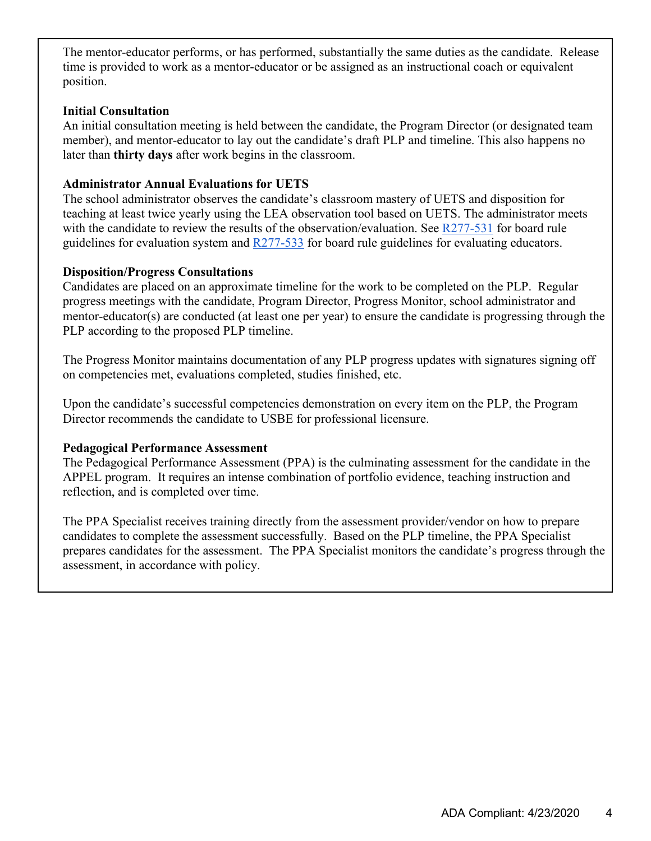The mentor-educator performs, or has performed, substantially the same duties as the candidate. Release time is provided to work as a mentor-educator or be assigned as an instructional coach or equivalent position.

#### **Initial Consultation**

An initial consultation meeting is held between the candidate, the Program Director (or designated team member), and mentor-educator to lay out the candidate's draft PLP and timeline. This also happens no later than **thirty days** after work begins in the classroom.

#### **Administrator Annual Evaluations for UETS**

The school administrator observes the candidate's classroom mastery of UETS and disposition for teaching at least twice yearly using the LEA observation tool based on UETS. The administrator meets with the candidate to review the results of the observation/evaluation. See [R277-531](https://rules.utah.gov/publicat/code/r277/r277-531.htm) for board rule guidelines for evaluation system and  $\frac{R277-533}{R277}$  for board rule guidelines for evaluating educators.

#### **Disposition/Progress Consultations**

Candidates are placed on an approximate timeline for the work to be completed on the PLP. Regular progress meetings with the candidate, Program Director, Progress Monitor, school administrator and mentor-educator(s) are conducted (at least one per year) to ensure the candidate is progressing through the PLP according to the proposed PLP timeline.

The Progress Monitor maintains documentation of any PLP progress updates with signatures signing off on competencies met, evaluations completed, studies finished, etc.

Upon the candidate's successful competencies demonstration on every item on the PLP, the Program Director recommends the candidate to USBE for professional licensure.

#### **Pedagogical Performance Assessment**

The Pedagogical Performance Assessment (PPA) is the culminating assessment for the candidate in the APPEL program. It requires an intense combination of portfolio evidence, teaching instruction and reflection, and is completed over time.

The PPA Specialist receives training directly from the assessment provider/vendor on how to prepare candidates to complete the assessment successfully. Based on the PLP timeline, the PPA Specialist prepares candidates for the assessment. The PPA Specialist monitors the candidate's progress through the assessment, in accordance with policy.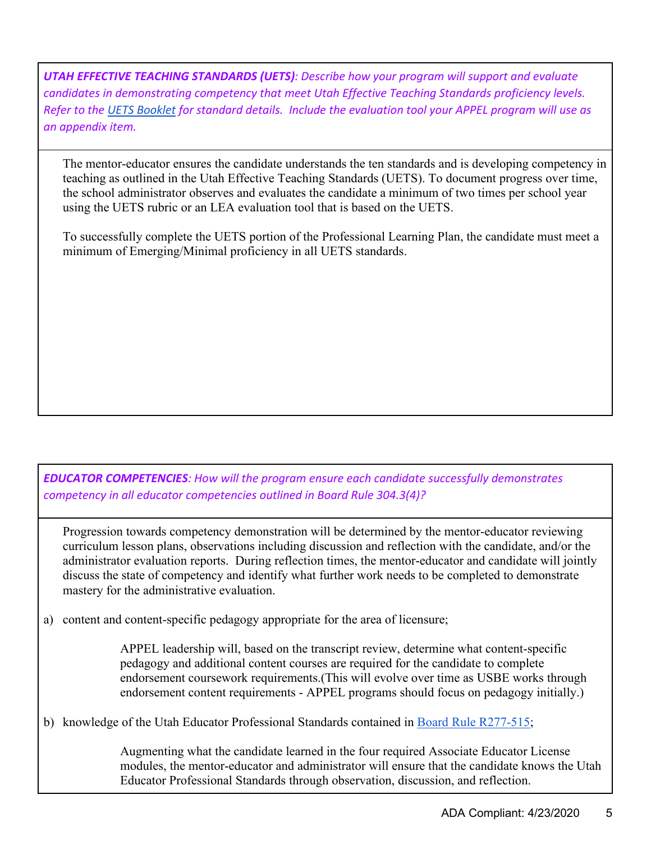*UTAH EFFECTIVE TEACHING STANDARDS (UETS): Describe how your program will support and evaluate candidates in demonstrating competency that meet Utah Effective Teaching Standards proficiency levels. Refer to the [UETS Booklet](https://schools.utah.gov/file/e2c4a21d-853c-4de0-963c-ad4aff0f59a3) for standard details. Include the evaluation tool your APPEL program will use as an appendix item.*

The mentor-educator ensures the candidate understands the ten standards and is developing competency in teaching as outlined in the Utah Effective Teaching Standards (UETS). To document progress over time, the school administrator observes and evaluates the candidate a minimum of two times per school year using the UETS rubric or an LEA evaluation tool that is based on the UETS.

To successfully complete the UETS portion of the Professional Learning Plan, the candidate must meet a minimum of Emerging/Minimal proficiency in all UETS standards.

*EDUCATOR COMPETENCIES: How will the program ensure each candidate successfully demonstrates competency in all educator competencies outlined in Board Rule 304.3(4)?*

Progression towards competency demonstration will be determined by the mentor-educator reviewing curriculum lesson plans, observations including discussion and reflection with the candidate, and/or the administrator evaluation reports. During reflection times, the mentor-educator and candidate will jointly discuss the state of competency and identify what further work needs to be completed to demonstrate mastery for the administrative evaluation.

a) content and content-specific pedagogy appropriate for the area of licensure;

APPEL leadership will, based on the transcript review, determine what content-specific pedagogy and additional content courses are required for the candidate to complete endorsement coursework requirements.(This will evolve over time as USBE works through endorsement content requirements - APPEL programs should focus on pedagogy initially.)

b) knowledge of the Utah Educator Professional Standards contained in [Board Rule R277-515;](https://rules.utah.gov/publicat/code/r277/r277-515.htm)

Augmenting what the candidate learned in the four required Associate Educator License modules, the mentor-educator and administrator will ensure that the candidate knows the Utah Educator Professional Standards through observation, discussion, and reflection.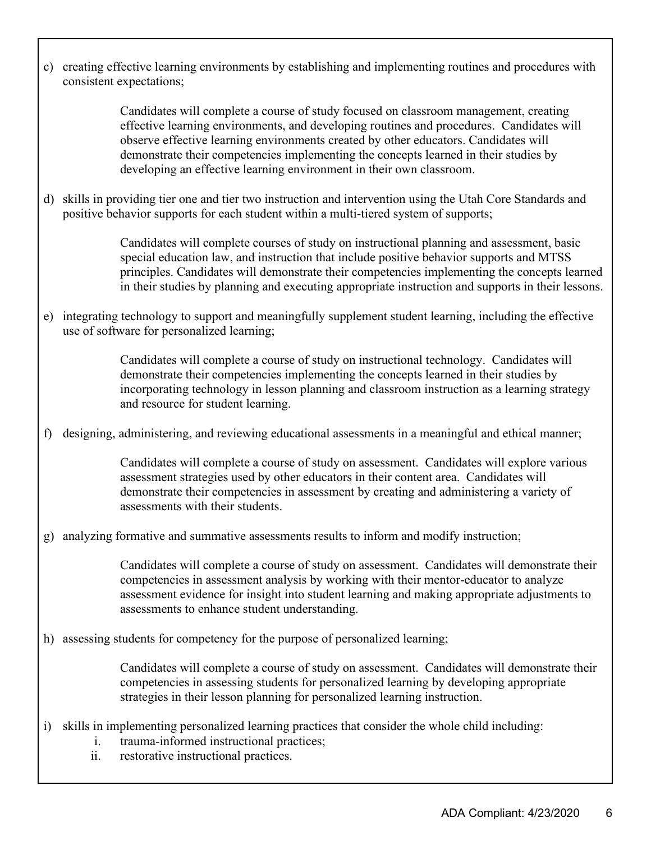c) creating effective learning environments by establishing and implementing routines and procedures with consistent expectations;

> Candidates will complete a course of study focused on classroom management, creating effective learning environments, and developing routines and procedures. Candidates will observe effective learning environments created by other educators. Candidates will demonstrate their competencies implementing the concepts learned in their studies by developing an effective learning environment in their own classroom.

d) skills in providing tier one and tier two instruction and intervention using the Utah Core Standards and positive behavior supports for each student within a multi-tiered system of supports;

> Candidates will complete courses of study on instructional planning and assessment, basic special education law, and instruction that include positive behavior supports and MTSS principles. Candidates will demonstrate their competencies implementing the concepts learned in their studies by planning and executing appropriate instruction and supports in their lessons.

e) integrating technology to support and meaningfully supplement student learning, including the effective use of software for personalized learning;

> Candidates will complete a course of study on instructional technology. Candidates will demonstrate their competencies implementing the concepts learned in their studies by incorporating technology in lesson planning and classroom instruction as a learning strategy and resource for student learning.

f) designing, administering, and reviewing educational assessments in a meaningful and ethical manner;

Candidates will complete a course of study on assessment. Candidates will explore various assessment strategies used by other educators in their content area. Candidates will demonstrate their competencies in assessment by creating and administering a variety of assessments with their students.

g) analyzing formative and summative assessments results to inform and modify instruction;

Candidates will complete a course of study on assessment. Candidates will demonstrate their competencies in assessment analysis by working with their mentor-educator to analyze assessment evidence for insight into student learning and making appropriate adjustments to assessments to enhance student understanding.

h) assessing students for competency for the purpose of personalized learning;

Candidates will complete a course of study on assessment. Candidates will demonstrate their competencies in assessing students for personalized learning by developing appropriate strategies in their lesson planning for personalized learning instruction.

- i) skills in implementing personalized learning practices that consider the whole child including:
	- i. trauma-informed instructional practices;
	- ii. restorative instructional practices.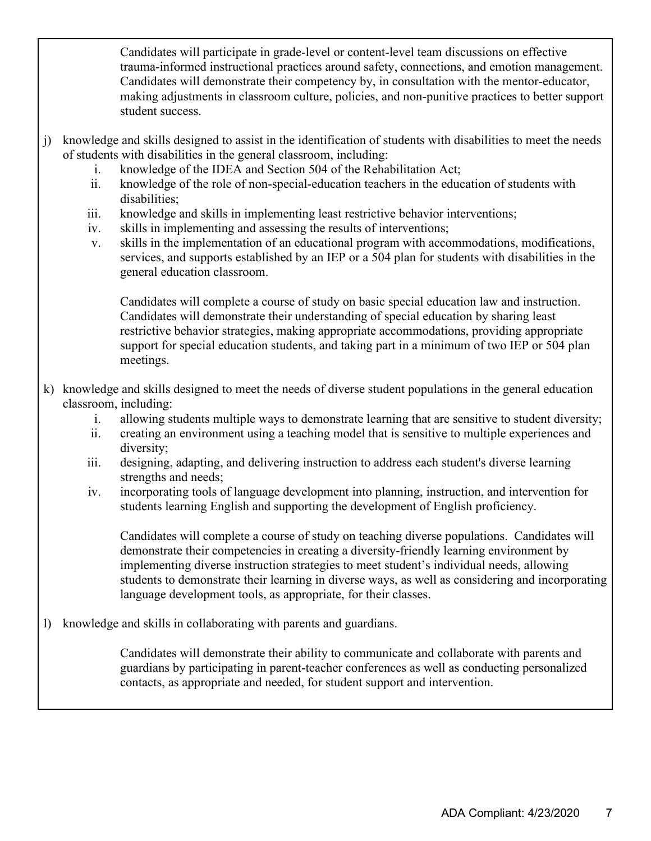Candidates will participate in grade-level or content-level team discussions on effective trauma-informed instructional practices around safety, connections, and emotion management. Candidates will demonstrate their competency by, in consultation with the mentor-educator, making adjustments in classroom culture, policies, and non-punitive practices to better support student success.

- j) knowledge and skills designed to assist in the identification of students with disabilities to meet the needs of students with disabilities in the general classroom, including:
	- i. knowledge of the IDEA and Section 504 of the Rehabilitation Act;
	- ii. knowledge of the role of non-special-education teachers in the education of students with disabilities;
	- iii. knowledge and skills in implementing least restrictive behavior interventions;
	- iv. skills in implementing and assessing the results of interventions;
	- v. skills in the implementation of an educational program with accommodations, modifications, services, and supports established by an IEP or a 504 plan for students with disabilities in the general education classroom.

Candidates will complete a course of study on basic special education law and instruction. Candidates will demonstrate their understanding of special education by sharing least restrictive behavior strategies, making appropriate accommodations, providing appropriate support for special education students, and taking part in a minimum of two IEP or 504 plan meetings.

- k) knowledge and skills designed to meet the needs of diverse student populations in the general education classroom, including:
	- i. allowing students multiple ways to demonstrate learning that are sensitive to student diversity;
	- ii. creating an environment using a teaching model that is sensitive to multiple experiences and diversity;
	- iii. designing, adapting, and delivering instruction to address each student's diverse learning strengths and needs;
	- iv. incorporating tools of language development into planning, instruction, and intervention for students learning English and supporting the development of English proficiency.

Candidates will complete a course of study on teaching diverse populations. Candidates will demonstrate their competencies in creating a diversity-friendly learning environment by implementing diverse instruction strategies to meet student's individual needs, allowing students to demonstrate their learning in diverse ways, as well as considering and incorporating language development tools, as appropriate, for their classes.

l) knowledge and skills in collaborating with parents and guardians.

Candidates will demonstrate their ability to communicate and collaborate with parents and guardians by participating in parent-teacher conferences as well as conducting personalized contacts, as appropriate and needed, for student support and intervention.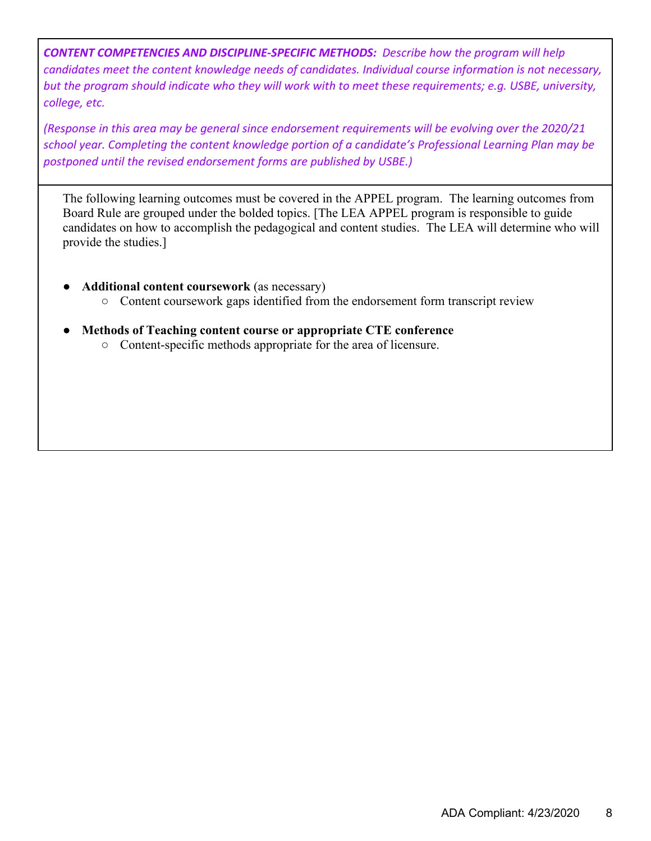*CONTENT COMPETENCIES AND DISCIPLINE-SPECIFIC METHODS: Describe how the program will help candidates meet the content knowledge needs of candidates. Individual course information is not necessary, but the program should indicate who they will work with to meet these requirements; e.g. USBE, university, college, etc.* 

*(Response in this area may be general since endorsement requirements will be evolving over the 2020/21 school year. Completing the content knowledge portion of a candidate's Professional Learning Plan may be postponed until the revised endorsement forms are published by USBE.)*

The following learning outcomes must be covered in the APPEL program. The learning outcomes from Board Rule are grouped under the bolded topics. [The LEA APPEL program is responsible to guide candidates on how to accomplish the pedagogical and content studies. The LEA will determine who will provide the studies.]

- **Additional content coursework** (as necessary)
	- Content coursework gaps identified from the endorsement form transcript review
- **Methods of Teaching content course or appropriate CTE conference**
	- Content-specific methods appropriate for the area of licensure.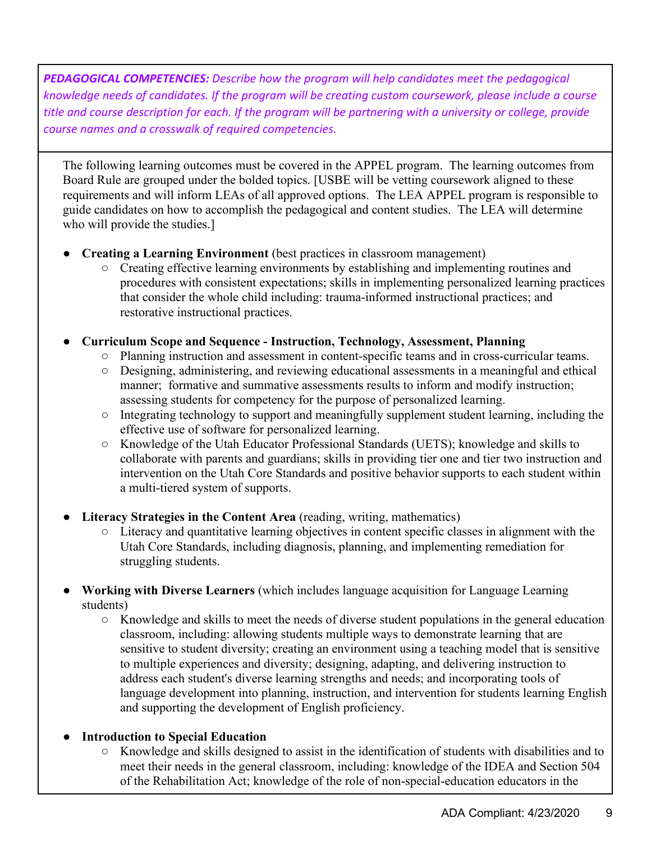*PEDAGOGICAL COMPETENCIES: Describe how the program will help candidates meet the pedagogical knowledge needs of candidates. If the program will be creating custom coursework, please include a course title and course description for each. If the program will be partnering with a university or college, provide course names and a crosswalk of required competencies.*

The following learning outcomes must be covered in the APPEL program. The learning outcomes from Board Rule are grouped under the bolded topics. [USBE will be vetting coursework aligned to these requirements and will inform LEAs of all approved options. The LEA APPEL program is responsible to guide candidates on how to accomplish the pedagogical and content studies. The LEA will determine who will provide the studies.]

- **Creating a Learning Environment** (best practices in classroom management)
	- Creating effective learning environments by establishing and implementing routines and procedures with consistent expectations; skills in implementing personalized learning practices that consider the whole child including: trauma-informed instructional practices; and restorative instructional practices.
- **Curriculum Scope and Sequence - Instruction, Technology, Assessment, Planning**
	- Planning instruction and assessment in content-specific teams and in cross-curricular teams.
	- Designing, administering, and reviewing educational assessments in a meaningful and ethical manner; formative and summative assessments results to inform and modify instruction; assessing students for competency for the purpose of personalized learning.
	- Integrating technology to support and meaningfully supplement student learning, including the effective use of software for personalized learning.
	- Knowledge of the Utah Educator Professional Standards (UETS); knowledge and skills to collaborate with parents and guardians; skills in providing tier one and tier two instruction and intervention on the Utah Core Standards and positive behavior supports to each student within a multi-tiered system of supports.
- **Literacy Strategies in the Content Area** (reading, writing, mathematics)
	- Literacy and quantitative learning objectives in content specific classes in alignment with the Utah Core Standards, including diagnosis, planning, and implementing remediation for struggling students.
- **Working with Diverse Learners** (which includes language acquisition for Language Learning students)
	- $\circ$  Knowledge and skills to meet the needs of diverse student populations in the general education classroom, including: allowing students multiple ways to demonstrate learning that are sensitive to student diversity; creating an environment using a teaching model that is sensitive to multiple experiences and diversity; designing, adapting, and delivering instruction to address each student's diverse learning strengths and needs; and incorporating tools of language development into planning, instruction, and intervention for students learning English and supporting the development of English proficiency.
- **Introduction to Special Education**
	- Knowledge and skills designed to assist in the identification of students with disabilities and to meet their needs in the general classroom, including: knowledge of the IDEA and Section 504 of the Rehabilitation Act; knowledge of the role of non-special-education educators in the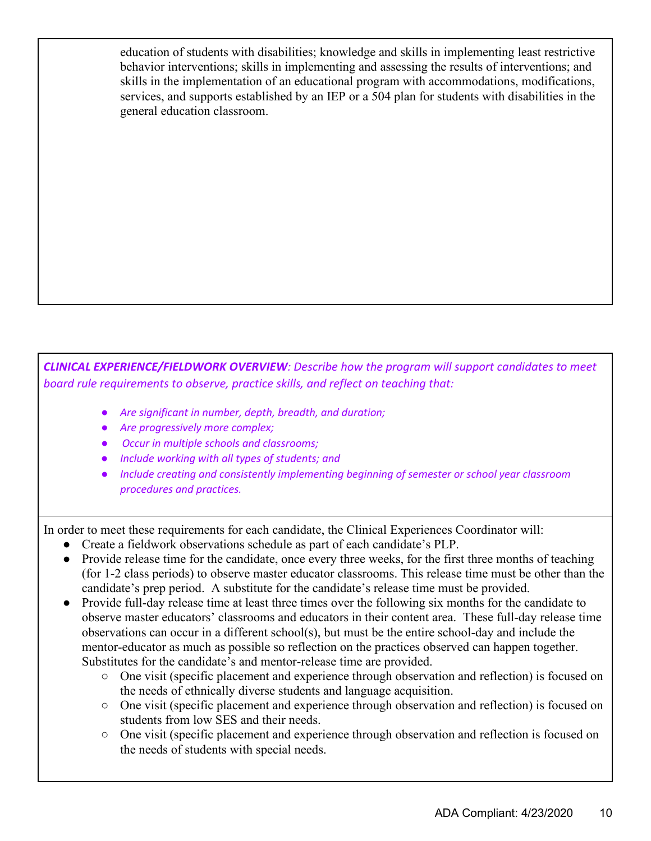education of students with disabilities; knowledge and skills in implementing least restrictive behavior interventions; skills in implementing and assessing the results of interventions; and skills in the implementation of an educational program with accommodations, modifications, services, and supports established by an IEP or a 504 plan for students with disabilities in the general education classroom.

*CLINICAL EXPERIENCE/FIELDWORK OVERVIEW: Describe how the program will support candidates to meet board rule requirements to observe, practice skills, and reflect on teaching that:*

- *Are significant in number, depth, breadth, and duration;*
- *Are progressively more complex;*
- *Occur in multiple schools and classrooms;*
- *Include working with all types of students; and*
- *Include creating and consistently implementing beginning of semester or school year classroom procedures and practices.*

In order to meet these requirements for each candidate, the Clinical Experiences Coordinator will:

- Create a fieldwork observations schedule as part of each candidate's PLP.
- Provide release time for the candidate, once every three weeks, for the first three months of teaching (for 1-2 class periods) to observe master educator classrooms. This release time must be other than the candidate's prep period. A substitute for the candidate's release time must be provided.
- Provide full-day release time at least three times over the following six months for the candidate to observe master educators' classrooms and educators in their content area. These full-day release time observations can occur in a different school(s), but must be the entire school-day and include the mentor-educator as much as possible so reflection on the practices observed can happen together. Substitutes for the candidate's and mentor-release time are provided.
	- One visit (specific placement and experience through observation and reflection) is focused on the needs of ethnically diverse students and language acquisition.
	- One visit (specific placement and experience through observation and reflection) is focused on students from low SES and their needs.
	- One visit (specific placement and experience through observation and reflection is focused on the needs of students with special needs.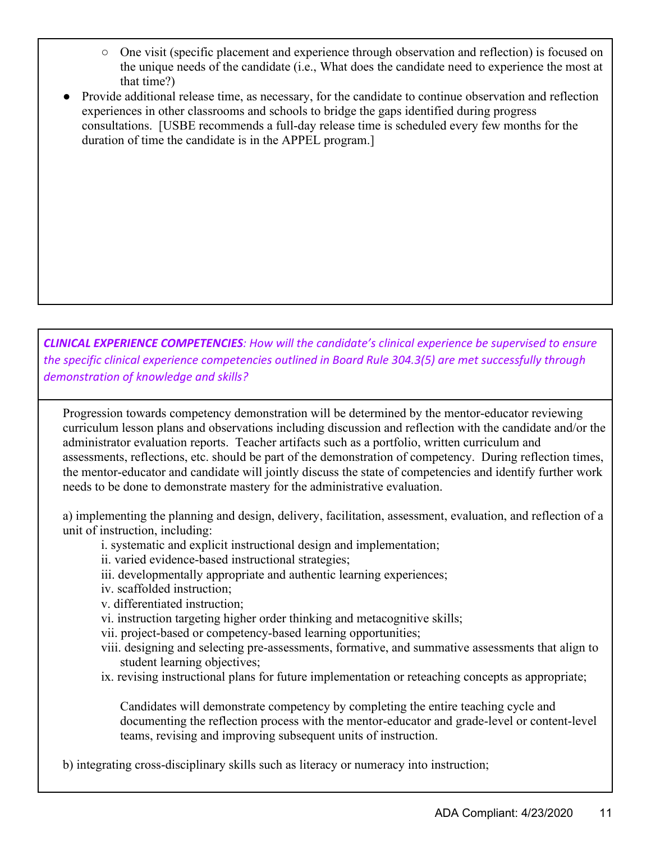- One visit (specific placement and experience through observation and reflection) is focused on the unique needs of the candidate (i.e., What does the candidate need to experience the most at that time?)
- Provide additional release time, as necessary, for the candidate to continue observation and reflection experiences in other classrooms and schools to bridge the gaps identified during progress consultations. [USBE recommends a full-day release time is scheduled every few months for the duration of time the candidate is in the APPEL program.]

*CLINICAL EXPERIENCE COMPETENCIES: How will the candidate's clinical experience be supervised to ensure the specific clinical experience competencies outlined in Board Rule 304.3(5) are met successfully through demonstration of knowledge and skills?*

Progression towards competency demonstration will be determined by the mentor-educator reviewing curriculum lesson plans and observations including discussion and reflection with the candidate and/or the administrator evaluation reports. Teacher artifacts such as a portfolio, written curriculum and assessments, reflections, etc. should be part of the demonstration of competency. During reflection times, the mentor-educator and candidate will jointly discuss the state of competencies and identify further work needs to be done to demonstrate mastery for the administrative evaluation.

a) implementing the planning and design, delivery, facilitation, assessment, evaluation, and reflection of a unit of instruction, including:

- i. systematic and explicit instructional design and implementation;
- ii. varied evidence-based instructional strategies;
- iii. developmentally appropriate and authentic learning experiences;
- iv. scaffolded instruction;
- v. differentiated instruction;
- vi. instruction targeting higher order thinking and metacognitive skills;
- vii. project-based or competency-based learning opportunities;
- viii. designing and selecting pre-assessments, formative, and summative assessments that align to student learning objectives;
- ix. revising instructional plans for future implementation or reteaching concepts as appropriate;

Candidates will demonstrate competency by completing the entire teaching cycle and documenting the reflection process with the mentor-educator and grade-level or content-level teams, revising and improving subsequent units of instruction.

b) integrating cross-disciplinary skills such as literacy or numeracy into instruction;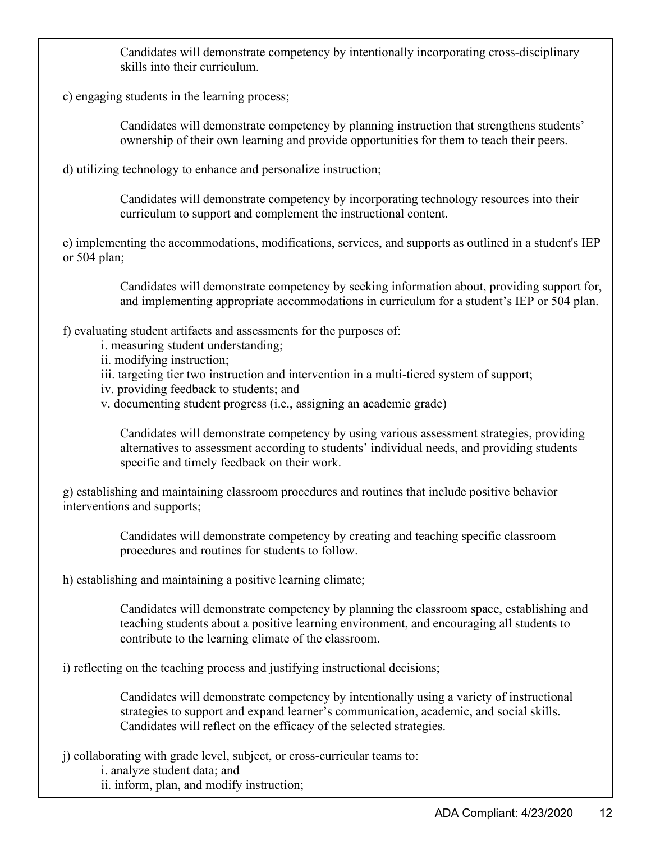Candidates will demonstrate competency by intentionally incorporating cross-disciplinary skills into their curriculum.

c) engaging students in the learning process;

Candidates will demonstrate competency by planning instruction that strengthens students' ownership of their own learning and provide opportunities for them to teach their peers.

d) utilizing technology to enhance and personalize instruction;

Candidates will demonstrate competency by incorporating technology resources into their curriculum to support and complement the instructional content.

e) implementing the accommodations, modifications, services, and supports as outlined in a student's IEP or 504 plan;

> Candidates will demonstrate competency by seeking information about, providing support for, and implementing appropriate accommodations in curriculum for a student's IEP or 504 plan.

f) evaluating student artifacts and assessments for the purposes of:

- i. measuring student understanding;
- ii. modifying instruction;
- iii. targeting tier two instruction and intervention in a multi-tiered system of support;
- iv. providing feedback to students; and
- v. documenting student progress (i.e., assigning an academic grade)

Candidates will demonstrate competency by using various assessment strategies, providing alternatives to assessment according to students' individual needs, and providing students specific and timely feedback on their work.

g) establishing and maintaining classroom procedures and routines that include positive behavior interventions and supports;

> Candidates will demonstrate competency by creating and teaching specific classroom procedures and routines for students to follow.

h) establishing and maintaining a positive learning climate;

Candidates will demonstrate competency by planning the classroom space, establishing and teaching students about a positive learning environment, and encouraging all students to contribute to the learning climate of the classroom.

i) reflecting on the teaching process and justifying instructional decisions;

Candidates will demonstrate competency by intentionally using a variety of instructional strategies to support and expand learner's communication, academic, and social skills. Candidates will reflect on the efficacy of the selected strategies.

j) collaborating with grade level, subject, or cross-curricular teams to:

i. analyze student data; and

ii. inform, plan, and modify instruction;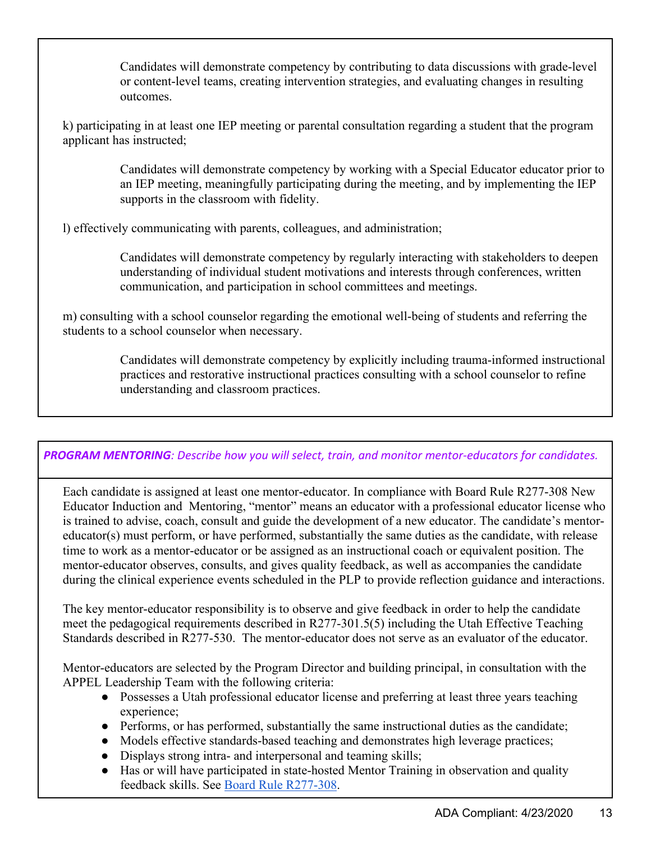Candidates will demonstrate competency by contributing to data discussions with grade-level or content-level teams, creating intervention strategies, and evaluating changes in resulting outcomes.

k) participating in at least one IEP meeting or parental consultation regarding a student that the program applicant has instructed;

> Candidates will demonstrate competency by working with a Special Educator educator prior to an IEP meeting, meaningfully participating during the meeting, and by implementing the IEP supports in the classroom with fidelity.

l) effectively communicating with parents, colleagues, and administration;

Candidates will demonstrate competency by regularly interacting with stakeholders to deepen understanding of individual student motivations and interests through conferences, written communication, and participation in school committees and meetings.

m) consulting with a school counselor regarding the emotional well-being of students and referring the students to a school counselor when necessary.

> Candidates will demonstrate competency by explicitly including trauma-informed instructional practices and restorative instructional practices consulting with a school counselor to refine understanding and classroom practices.

#### *PROGRAM MENTORING: Describe how you will select, train, and monitor mentor-educators for candidates.*

Each candidate is assigned at least one mentor-educator. In compliance with Board Rule R277-308 New Educator Induction and Mentoring, "mentor" means an educator with a professional educator license who is trained to advise, coach, consult and guide the development of a new educator. The candidate's mentoreducator(s) must perform, or have performed, substantially the same duties as the candidate, with release time to work as a mentor-educator or be assigned as an instructional coach or equivalent position. The mentor-educator observes, consults, and gives quality feedback, as well as accompanies the candidate during the clinical experience events scheduled in the PLP to provide reflection guidance and interactions.

The key mentor-educator responsibility is to observe and give feedback in order to help the candidate meet the pedagogical requirements described in R277-301.5(5) including the Utah Effective Teaching Standards described in R277-530. The mentor-educator does not serve as an evaluator of the educator.

Mentor-educators are selected by the Program Director and building principal, in consultation with the APPEL Leadership Team with the following criteria:

- Possesses a Utah professional educator license and preferring at least three years teaching experience;
- Performs, or has performed, substantially the same instructional duties as the candidate;
- Models effective standards-based teaching and demonstrates high leverage practices;
- Displays strong intra- and interpersonal and teaming skills;
- Has or will have participated in state-hosted Mentor Training in observation and quality feedback skills. See [Board Rule R277-308.](https://rules.utah.gov/publicat/code/r277/r277-308.htm)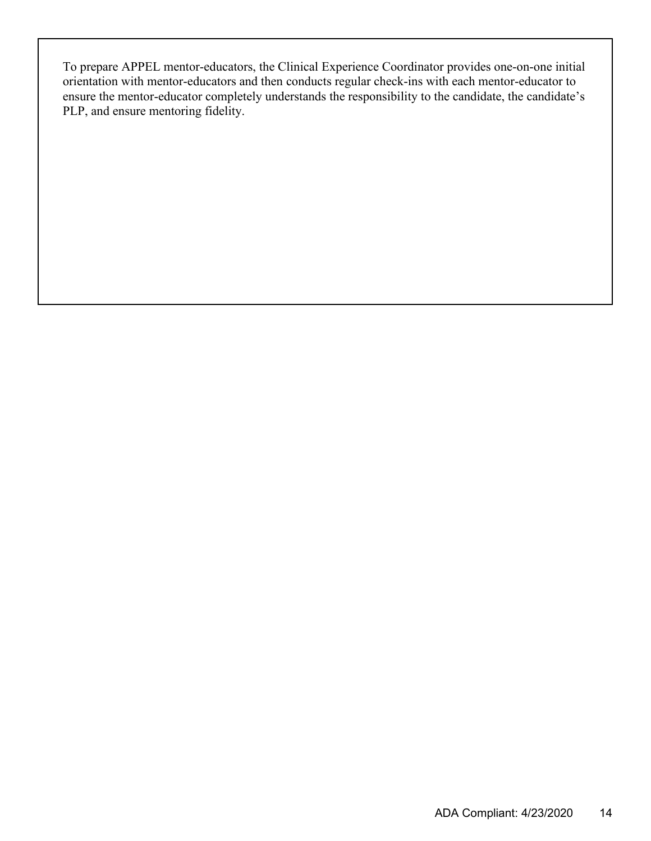To prepare APPEL mentor-educators, the Clinical Experience Coordinator provides one-on-one initial orientation with mentor-educators and then conducts regular check-ins with each mentor-educator to ensure the mentor-educator completely understands the responsibility to the candidate, the candidate's PLP, and ensure mentoring fidelity.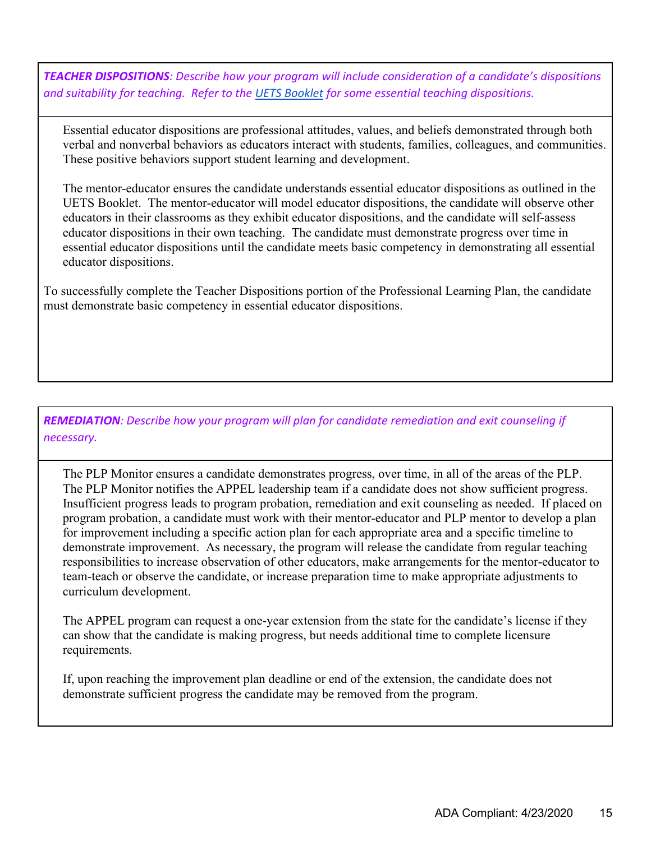*TEACHER DISPOSITIONS: Describe how your program will include consideration of a candidate's dispositions and suitability for teaching. Refer to the [UETS Booklet](https://schools.utah.gov/file/e2c4a21d-853c-4de0-963c-ad4aff0f59a3) for some essential teaching dispositions.*

Essential educator dispositions are professional attitudes, values, and beliefs demonstrated through both verbal and nonverbal behaviors as educators interact with students, families, colleagues, and communities. These positive behaviors support student learning and development.

The mentor-educator ensures the candidate understands essential educator dispositions as outlined in the UETS Booklet. The mentor-educator will model educator dispositions, the candidate will observe other educators in their classrooms as they exhibit educator dispositions, and the candidate will self-assess educator dispositions in their own teaching. The candidate must demonstrate progress over time in essential educator dispositions until the candidate meets basic competency in demonstrating all essential educator dispositions.

To successfully complete the Teacher Dispositions portion of the Professional Learning Plan, the candidate must demonstrate basic competency in essential educator dispositions.

*REMEDIATION: Describe how your program will plan for candidate remediation and exit counseling if necessary.*

The PLP Monitor ensures a candidate demonstrates progress, over time, in all of the areas of the PLP. The PLP Monitor notifies the APPEL leadership team if a candidate does not show sufficient progress. Insufficient progress leads to program probation, remediation and exit counseling as needed. If placed on program probation, a candidate must work with their mentor-educator and PLP mentor to develop a plan for improvement including a specific action plan for each appropriate area and a specific timeline to demonstrate improvement. As necessary, the program will release the candidate from regular teaching responsibilities to increase observation of other educators, make arrangements for the mentor-educator to team-teach or observe the candidate, or increase preparation time to make appropriate adjustments to curriculum development.

The APPEL program can request a one-year extension from the state for the candidate's license if they can show that the candidate is making progress, but needs additional time to complete licensure requirements.

If, upon reaching the improvement plan deadline or end of the extension, the candidate does not demonstrate sufficient progress the candidate may be removed from the program.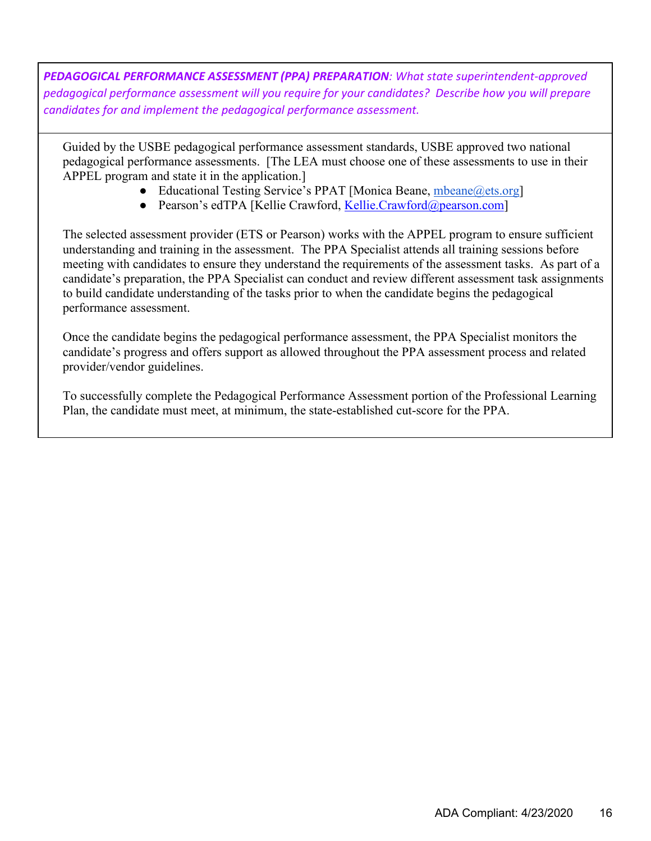*PEDAGOGICAL PERFORMANCE ASSESSMENT (PPA) PREPARATION: What state superintendent-approved pedagogical performance assessment will you require for your candidates? Describe how you will prepare candidates for and implement the pedagogical performance assessment.*

Guided by the USBE pedagogical performance assessment standards, USBE approved two national pedagogical performance assessments. [The LEA must choose one of these assessments to use in their APPEL program and state it in the application.]

- Educational Testing Service's PPAT [Monica Beane, [mbeane@ets.org\]](mailto:mbeane@ets.org)
- Pearson's edTPA [Kellie Crawford, [Kellie.Crawford@pearson.com\]](mailto:Kellie.Crawford@pearson.com)

The selected assessment provider (ETS or Pearson) works with the APPEL program to ensure sufficient understanding and training in the assessment. The PPA Specialist attends all training sessions before meeting with candidates to ensure they understand the requirements of the assessment tasks. As part of a candidate's preparation, the PPA Specialist can conduct and review different assessment task assignments to build candidate understanding of the tasks prior to when the candidate begins the pedagogical performance assessment.

Once the candidate begins the pedagogical performance assessment, the PPA Specialist monitors the candidate's progress and offers support as allowed throughout the PPA assessment process and related provider/vendor guidelines.

To successfully complete the Pedagogical Performance Assessment portion of the Professional Learning Plan, the candidate must meet, at minimum, the state-established cut-score for the PPA.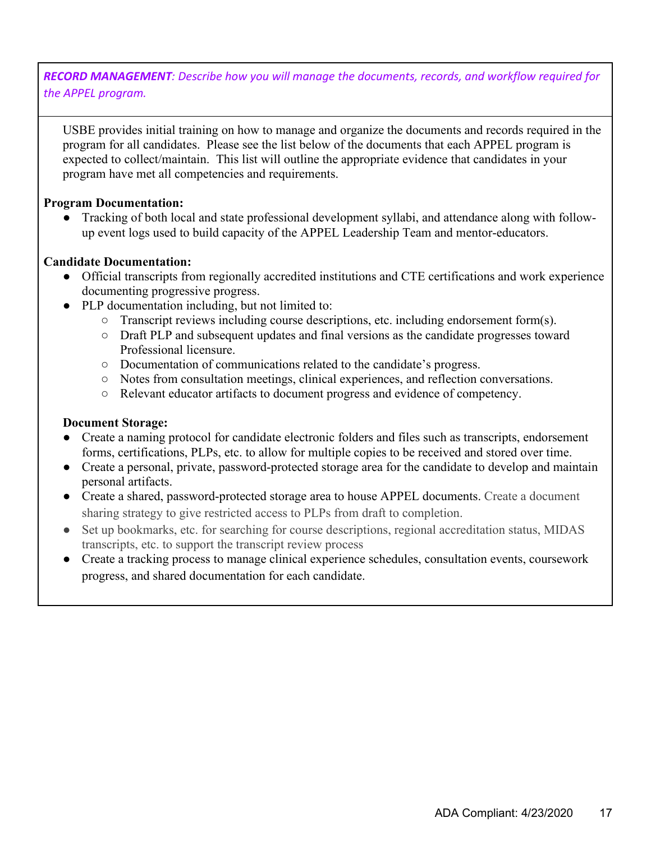*RECORD MANAGEMENT: Describe how you will manage the documents, records, and workflow required for the APPEL program.*

USBE provides initial training on how to manage and organize the documents and records required in the program for all candidates. Please see the list below of the documents that each APPEL program is expected to collect/maintain. This list will outline the appropriate evidence that candidates in your program have met all competencies and requirements.

#### **Program Documentation:**

• Tracking of both local and state professional development syllabi, and attendance along with followup event logs used to build capacity of the APPEL Leadership Team and mentor-educators.

#### **Candidate Documentation:**

- Official transcripts from regionally accredited institutions and CTE certifications and work experience documenting progressive progress.
- PLP documentation including, but not limited to:
	- Transcript reviews including course descriptions, etc. including endorsement form(s).
	- Draft PLP and subsequent updates and final versions as the candidate progresses toward Professional licensure.
	- Documentation of communications related to the candidate's progress.
	- Notes from consultation meetings, clinical experiences, and reflection conversations.
	- Relevant educator artifacts to document progress and evidence of competency.

#### **Document Storage:**

- Create a naming protocol for candidate electronic folders and files such as transcripts, endorsement forms, certifications, PLPs, etc. to allow for multiple copies to be received and stored over time.
- Create a personal, private, password-protected storage area for the candidate to develop and maintain personal artifacts.
- Create a shared, password-protected storage area to house APPEL documents. Create a document sharing strategy to give restricted access to PLPs from draft to completion.
- Set up bookmarks, etc. for searching for course descriptions, regional accreditation status, MIDAS transcripts, etc. to support the transcript review process
- Create a tracking process to manage clinical experience schedules, consultation events, coursework progress, and shared documentation for each candidate.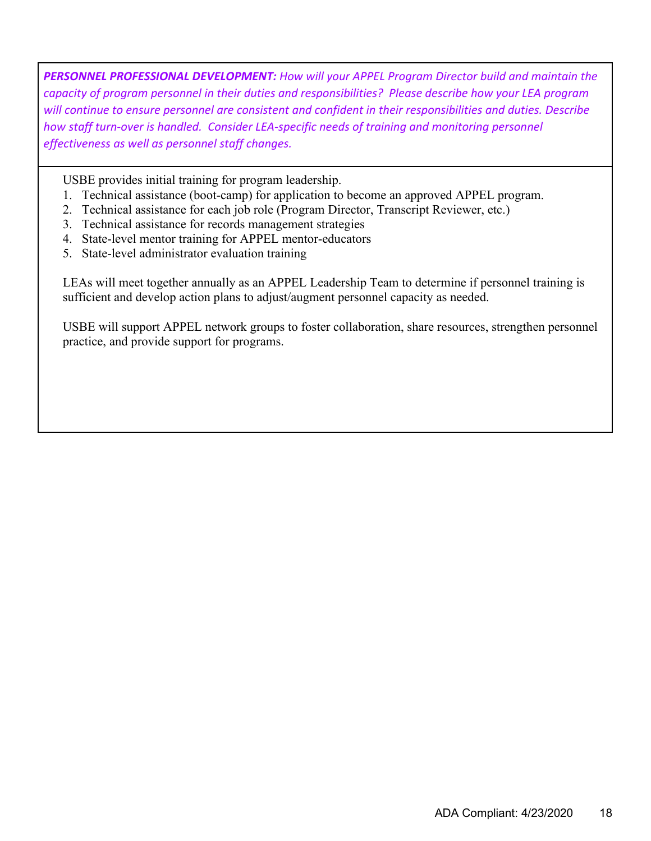*PERSONNEL PROFESSIONAL DEVELOPMENT: How will your APPEL Program Director build and maintain the capacity of program personnel in their duties and responsibilities? Please describe how your LEA program will continue to ensure personnel are consistent and confident in their responsibilities and duties. Describe*  how staff turn-over is handled. Consider LEA-specific needs of training and monitoring personnel *effectiveness as well as personnel staff changes.*

USBE provides initial training for program leadership.

- 1. Technical assistance (boot-camp) for application to become an approved APPEL program.
- 2. Technical assistance for each job role (Program Director, Transcript Reviewer, etc.)
- 3. Technical assistance for records management strategies
- 4. State-level mentor training for APPEL mentor-educators
- 5. State-level administrator evaluation training

LEAs will meet together annually as an APPEL Leadership Team to determine if personnel training is sufficient and develop action plans to adjust/augment personnel capacity as needed.

USBE will support APPEL network groups to foster collaboration, share resources, strengthen personnel practice, and provide support for programs.